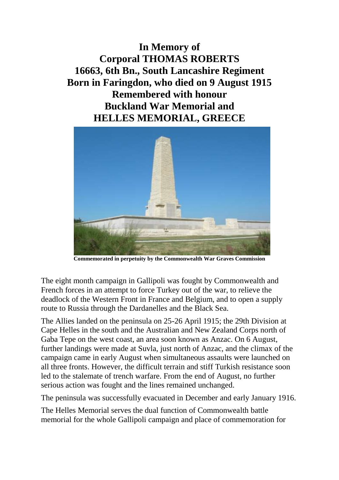**In Memory of Corporal THOMAS ROBERTS 16663, 6th Bn., South Lancashire Regiment Born in Faringdon, who died on 9 August 1915 Remembered with honour Buckland War Memorial and HELLES MEMORIAL, GREECE**



**Commemorated in perpetuity by the Commonwealth War Graves Commission**

The eight month campaign in Gallipoli was fought by Commonwealth and French forces in an attempt to force Turkey out of the war, to relieve the deadlock of the Western Front in France and Belgium, and to open a supply route to Russia through the Dardanelles and the Black Sea.

The Allies landed on the peninsula on 25-26 April 1915; the 29th Division at Cape Helles in the south and the Australian and New Zealand Corps north of Gaba Tepe on the west coast, an area soon known as Anzac. On 6 August, further landings were made at Suvla, just north of Anzac, and the climax of the campaign came in early August when simultaneous assaults were launched on all three fronts. However, the difficult terrain and stiff Turkish resistance soon led to the stalemate of trench warfare. From the end of August, no further serious action was fought and the lines remained unchanged.

The peninsula was successfully evacuated in December and early January 1916.

The Helles Memorial serves the dual function of Commonwealth battle memorial for the whole Gallipoli campaign and place of commemoration for